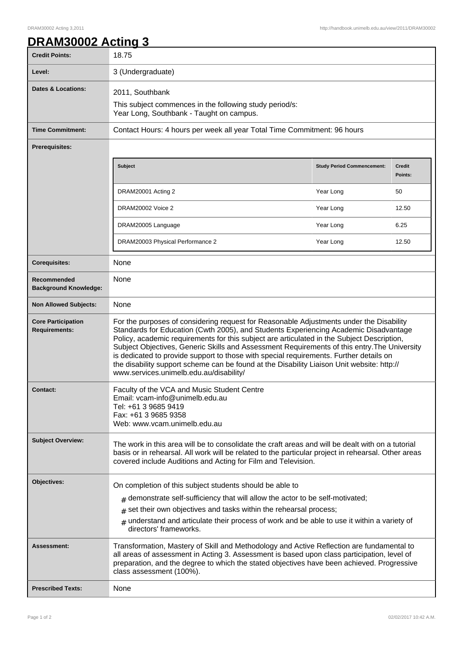٦

## **DRAM30002 Acting 3**

| <b>Credit Points:</b>                             | 18.75                                                                                                                                                                                                                                                                                                                                                                                                                                                                                                                                                                                                            |                                   |                          |
|---------------------------------------------------|------------------------------------------------------------------------------------------------------------------------------------------------------------------------------------------------------------------------------------------------------------------------------------------------------------------------------------------------------------------------------------------------------------------------------------------------------------------------------------------------------------------------------------------------------------------------------------------------------------------|-----------------------------------|--------------------------|
| Level:                                            | 3 (Undergraduate)                                                                                                                                                                                                                                                                                                                                                                                                                                                                                                                                                                                                |                                   |                          |
| <b>Dates &amp; Locations:</b>                     | 2011, Southbank                                                                                                                                                                                                                                                                                                                                                                                                                                                                                                                                                                                                  |                                   |                          |
|                                                   | This subject commences in the following study period/s:<br>Year Long, Southbank - Taught on campus.                                                                                                                                                                                                                                                                                                                                                                                                                                                                                                              |                                   |                          |
| <b>Time Commitment:</b>                           | Contact Hours: 4 hours per week all year Total Time Commitment: 96 hours                                                                                                                                                                                                                                                                                                                                                                                                                                                                                                                                         |                                   |                          |
| <b>Prerequisites:</b>                             |                                                                                                                                                                                                                                                                                                                                                                                                                                                                                                                                                                                                                  |                                   |                          |
|                                                   | <b>Subject</b>                                                                                                                                                                                                                                                                                                                                                                                                                                                                                                                                                                                                   | <b>Study Period Commencement:</b> | <b>Credit</b><br>Points: |
|                                                   | DRAM20001 Acting 2                                                                                                                                                                                                                                                                                                                                                                                                                                                                                                                                                                                               | Year Long                         | 50                       |
|                                                   | DRAM20002 Voice 2                                                                                                                                                                                                                                                                                                                                                                                                                                                                                                                                                                                                | Year Long                         | 12.50                    |
|                                                   | DRAM20005 Language                                                                                                                                                                                                                                                                                                                                                                                                                                                                                                                                                                                               | Year Long                         | 6.25                     |
|                                                   | DRAM20003 Physical Performance 2                                                                                                                                                                                                                                                                                                                                                                                                                                                                                                                                                                                 | Year Long                         | 12.50                    |
| <b>Corequisites:</b>                              | None                                                                                                                                                                                                                                                                                                                                                                                                                                                                                                                                                                                                             |                                   |                          |
| Recommended<br><b>Background Knowledge:</b>       | None                                                                                                                                                                                                                                                                                                                                                                                                                                                                                                                                                                                                             |                                   |                          |
| <b>Non Allowed Subjects:</b>                      | None                                                                                                                                                                                                                                                                                                                                                                                                                                                                                                                                                                                                             |                                   |                          |
| <b>Core Participation</b><br><b>Requirements:</b> | For the purposes of considering request for Reasonable Adjustments under the Disability<br>Standards for Education (Cwth 2005), and Students Experiencing Academic Disadvantage<br>Policy, academic requirements for this subject are articulated in the Subject Description,<br>Subject Objectives, Generic Skills and Assessment Requirements of this entry. The University<br>is dedicated to provide support to those with special requirements. Further details on<br>the disability support scheme can be found at the Disability Liaison Unit website: http://<br>www.services.unimelb.edu.au/disability/ |                                   |                          |
| <b>Contact:</b>                                   | Faculty of the VCA and Music Student Centre<br>Email: vcam-info@unimelb.edu.au<br>Tel: +61 3 9685 9419<br>Fax: +61 3 9685 9358<br>Web: www.vcam.unimelb.edu.au                                                                                                                                                                                                                                                                                                                                                                                                                                                   |                                   |                          |
| <b>Subject Overview:</b>                          | The work in this area will be to consolidate the craft areas and will be dealt with on a tutorial<br>basis or in rehearsal. All work will be related to the particular project in rehearsal. Other areas<br>covered include Auditions and Acting for Film and Television.                                                                                                                                                                                                                                                                                                                                        |                                   |                          |
| Objectives:                                       | On completion of this subject students should be able to                                                                                                                                                                                                                                                                                                                                                                                                                                                                                                                                                         |                                   |                          |
|                                                   | $#$ demonstrate self-sufficiency that will allow the actor to be self-motivated;                                                                                                                                                                                                                                                                                                                                                                                                                                                                                                                                 |                                   |                          |
|                                                   | $#$ set their own objectives and tasks within the rehearsal process;                                                                                                                                                                                                                                                                                                                                                                                                                                                                                                                                             |                                   |                          |
|                                                   | $#$ understand and articulate their process of work and be able to use it within a variety of<br>directors' frameworks.                                                                                                                                                                                                                                                                                                                                                                                                                                                                                          |                                   |                          |
| Assessment:                                       | Transformation, Mastery of Skill and Methodology and Active Reflection are fundamental to<br>all areas of assessment in Acting 3. Assessment is based upon class participation, level of<br>preparation, and the degree to which the stated objectives have been achieved. Progressive<br>class assessment (100%).                                                                                                                                                                                                                                                                                               |                                   |                          |
| <b>Prescribed Texts:</b>                          | None                                                                                                                                                                                                                                                                                                                                                                                                                                                                                                                                                                                                             |                                   |                          |